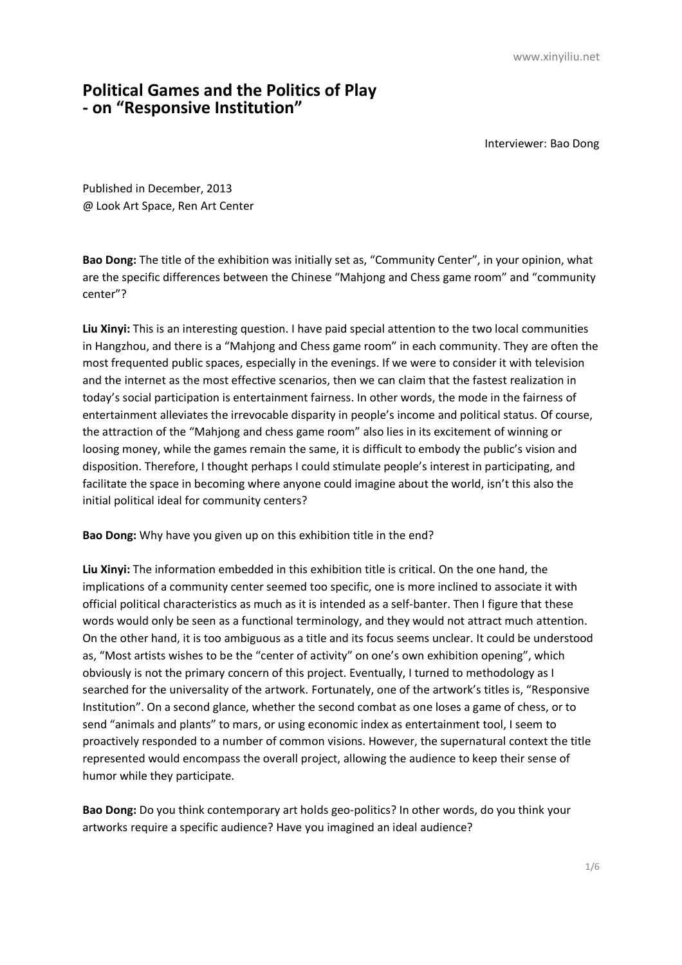## **Political Games and the Politics of Play - on "Responsive Institution"**

Interviewer: Bao Dong

Published in December, 2013 @ Look Art Space, Ren Art Center

**Bao Dong:** The title of the exhibition was initially set as, "Community Center", in your opinion, what are the specific differences between the Chinese "Mahjong and Chess game room" and "community center"?

**Liu Xinyi:** This is an interesting question. I have paid special attention to the two local communities in Hangzhou, and there is a "Mahjong and Chess game room" in each community. They are often the most frequented public spaces, especially in the evenings. If we were to consider it with television and the internet as the most effective scenarios, then we can claim that the fastest realization in today's social participation is entertainment fairness. In other words, the mode in the fairness of entertainment alleviates the irrevocable disparity in people's income and political status. Of course, the attraction of the "Mahjong and chess game room" also lies in its excitement of winning or loosing money, while the games remain the same, it is difficult to embody the public's vision and disposition. Therefore, I thought perhaps I could stimulate people's interest in participating, and facilitate the space in becoming where anyone could imagine about the world, isn't this also the initial political ideal for community centers?

**Bao Dong:** Why have you given up on this exhibition title in the end?

**Liu Xinyi:** The information embedded in this exhibition title is critical. On the one hand, the implications of a community center seemed too specific, one is more inclined to associate it with official political characteristics as much as it is intended as a self-banter. Then I figure that these words would only be seen as a functional terminology, and they would not attract much attention. On the other hand, it is too ambiguous as a title and its focus seems unclear. It could be understood as, "Most artists wishes to be the "center of activity" on one's own exhibition opening", which obviously is not the primary concern of this project. Eventually, I turned to methodology as I searched for the universality of the artwork. Fortunately, one of the artwork's titles is, "Responsive Institution". On a second glance, whether the second combat as one loses a game of chess, or to send "animals and plants" to mars, or using economic index as entertainment tool, I seem to proactively responded to a number of common visions. However, the supernatural context the title represented would encompass the overall project, allowing the audience to keep their sense of humor while they participate.

**Bao Dong:** Do you think contemporary art holds geo-politics? In other words, do you think your artworks require a specific audience? Have you imagined an ideal audience?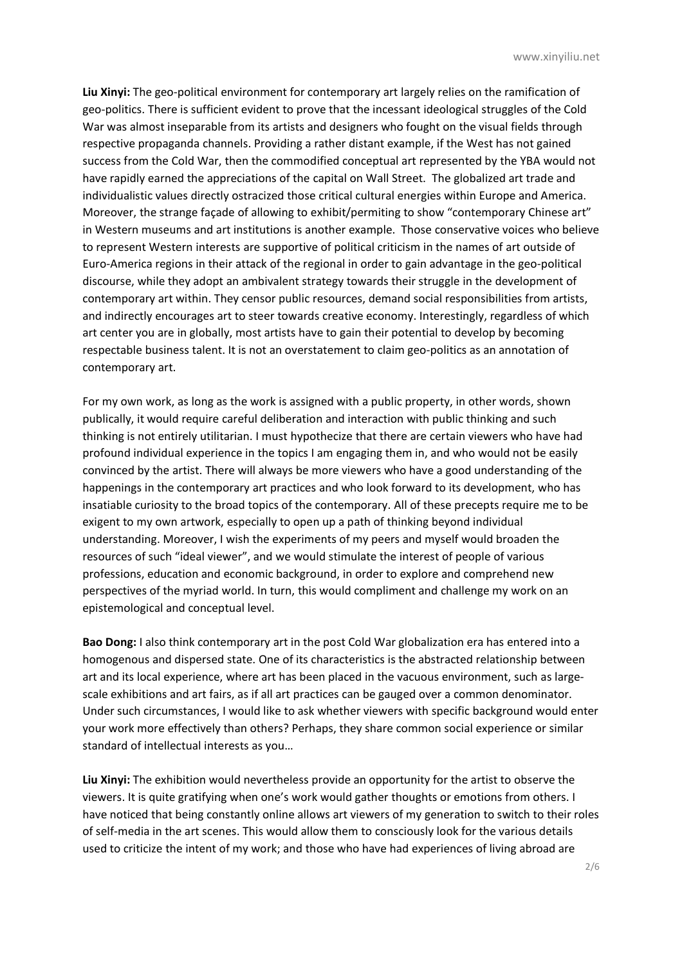**Liu Xinyi:** The geo-political environment for contemporary art largely relies on the ramification of geo-politics. There is sufficient evident to prove that the incessant ideological struggles of the Cold War was almost inseparable from its artists and designers who fought on the visual fields through respective propaganda channels. Providing a rather distant example, if the West has not gained success from the Cold War, then the commodified conceptual art represented by the YBA would not have rapidly earned the appreciations of the capital on Wall Street. The globalized art trade and individualistic values directly ostracized those critical cultural energies within Europe and America. Moreover, the strange façade of allowing to exhibit/permiting to show "contemporary Chinese art" in Western museums and art institutions is another example. Those conservative voices who believe to represent Western interests are supportive of political criticism in the names of art outside of Euro-America regions in their attack of the regional in order to gain advantage in the geo-political discourse, while they adopt an ambivalent strategy towards their struggle in the development of contemporary art within. They censor public resources, demand social responsibilities from artists, and indirectly encourages art to steer towards creative economy. Interestingly, regardless of which art center you are in globally, most artists have to gain their potential to develop by becoming respectable business talent. It is not an overstatement to claim geo-politics as an annotation of contemporary art.

For my own work, as long as the work is assigned with a public property, in other words, shown publically, it would require careful deliberation and interaction with public thinking and such thinking is not entirely utilitarian. I must hypothecize that there are certain viewers who have had profound individual experience in the topics I am engaging them in, and who would not be easily convinced by the artist. There will always be more viewers who have a good understanding of the happenings in the contemporary art practices and who look forward to its development, who has insatiable curiosity to the broad topics of the contemporary. All of these precepts require me to be exigent to my own artwork, especially to open up a path of thinking beyond individual understanding. Moreover, I wish the experiments of my peers and myself would broaden the resources of such "ideal viewer", and we would stimulate the interest of people of various professions, education and economic background, in order to explore and comprehend new perspectives of the myriad world. In turn, this would compliment and challenge my work on an epistemological and conceptual level.

**Bao Dong:** I also think contemporary art in the post Cold War globalization era has entered into a homogenous and dispersed state. One of its characteristics is the abstracted relationship between art and its local experience, where art has been placed in the vacuous environment, such as largescale exhibitions and art fairs, as if all art practices can be gauged over a common denominator. Under such circumstances, I would like to ask whether viewers with specific background would enter your work more effectively than others? Perhaps, they share common social experience or similar standard of intellectual interests as you…

**Liu Xinyi:** The exhibition would nevertheless provide an opportunity for the artist to observe the viewers. It is quite gratifying when one's work would gather thoughts or emotions from others. I have noticed that being constantly online allows art viewers of my generation to switch to their roles of self-media in the art scenes. This would allow them to consciously look for the various details used to criticize the intent of my work; and those who have had experiences of living abroad are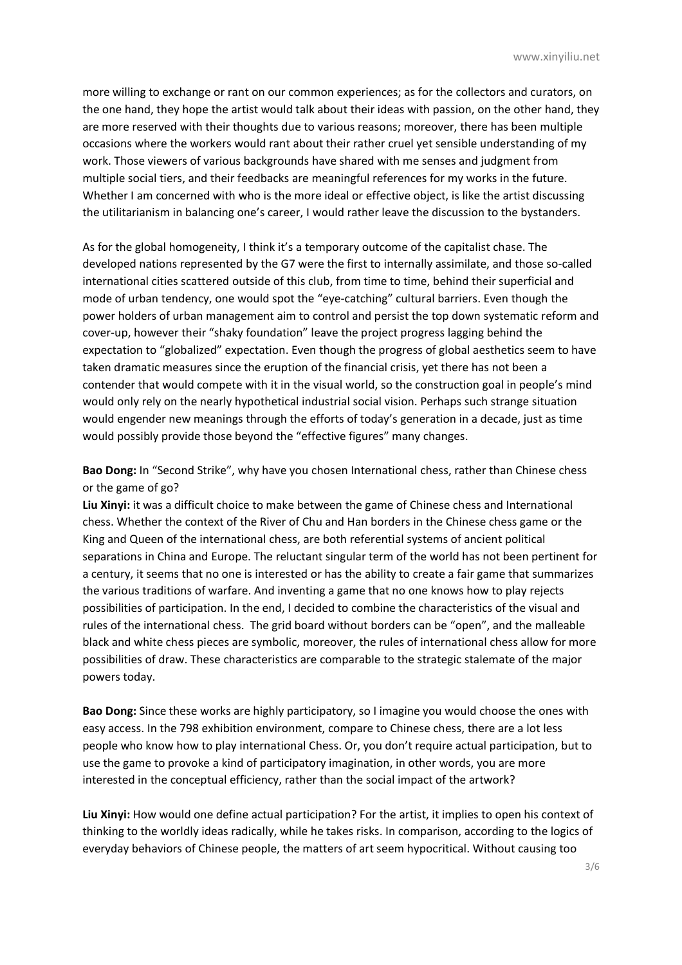more willing to exchange or rant on our common experiences; as for the collectors and curators, on the one hand, they hope the artist would talk about their ideas with passion, on the other hand, they are more reserved with their thoughts due to various reasons; moreover, there has been multiple occasions where the workers would rant about their rather cruel yet sensible understanding of my work. Those viewers of various backgrounds have shared with me senses and judgment from multiple social tiers, and their feedbacks are meaningful references for my works in the future. Whether I am concerned with who is the more ideal or effective object, is like the artist discussing the utilitarianism in balancing one's career, I would rather leave the discussion to the bystanders.

As for the global homogeneity, I think it's a temporary outcome of the capitalist chase. The developed nations represented by the G7 were the first to internally assimilate, and those so-called international cities scattered outside of this club, from time to time, behind their superficial and mode of urban tendency, one would spot the "eye-catching" cultural barriers. Even though the power holders of urban management aim to control and persist the top down systematic reform and cover-up, however their "shaky foundation" leave the project progress lagging behind the expectation to "globalized" expectation. Even though the progress of global aesthetics seem to have taken dramatic measures since the eruption of the financial crisis, yet there has not been a contender that would compete with it in the visual world, so the construction goal in people's mind would only rely on the nearly hypothetical industrial social vision. Perhaps such strange situation would engender new meanings through the efforts of today's generation in a decade, just as time would possibly provide those beyond the "effective figures" many changes.

**Bao Dong:** In "Second Strike", why have you chosen International chess, rather than Chinese chess or the game of go?

**Liu Xinyi:** it was a difficult choice to make between the game of Chinese chess and International chess. Whether the context of the River of Chu and Han borders in the Chinese chess game or the King and Queen of the international chess, are both referential systems of ancient political separations in China and Europe. The reluctant singular term of the world has not been pertinent for a century, it seems that no one is interested or has the ability to create a fair game that summarizes the various traditions of warfare. And inventing a game that no one knows how to play rejects possibilities of participation. In the end, I decided to combine the characteristics of the visual and rules of the international chess. The grid board without borders can be "open", and the malleable black and white chess pieces are symbolic, moreover, the rules of international chess allow for more possibilities of draw. These characteristics are comparable to the strategic stalemate of the major powers today.

**Bao Dong:** Since these works are highly participatory, so I imagine you would choose the ones with easy access. In the 798 exhibition environment, compare to Chinese chess, there are a lot less people who know how to play international Chess. Or, you don't require actual participation, but to use the game to provoke a kind of participatory imagination, in other words, you are more interested in the conceptual efficiency, rather than the social impact of the artwork?

**Liu Xinyi:** How would one define actual participation? For the artist, it implies to open his context of thinking to the worldly ideas radically, while he takes risks. In comparison, according to the logics of everyday behaviors of Chinese people, the matters of art seem hypocritical. Without causing too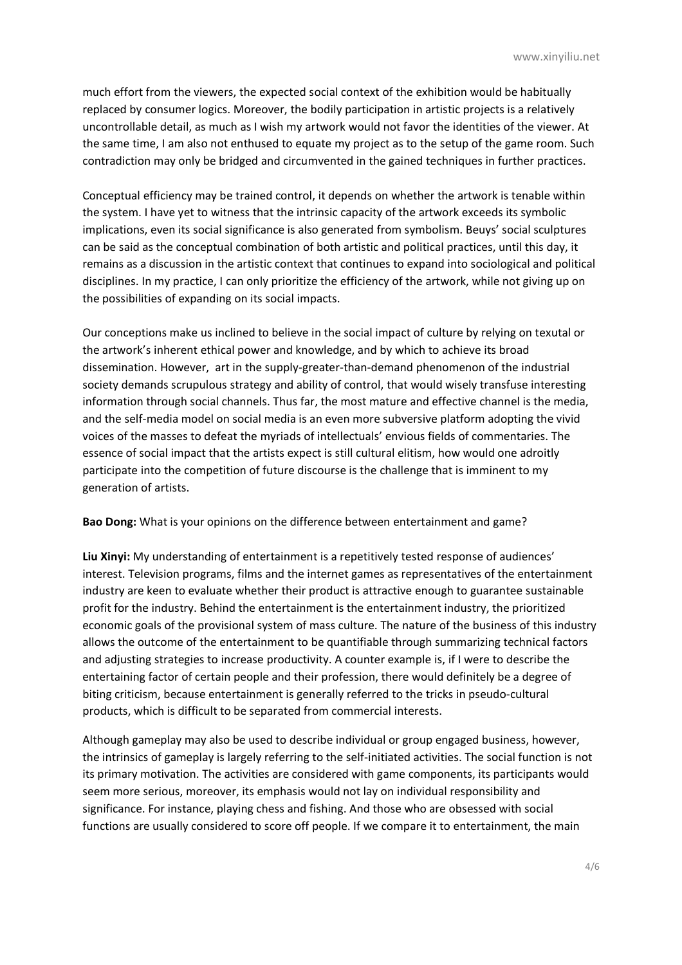much effort from the viewers, the expected social context of the exhibition would be habitually replaced by consumer logics. Moreover, the bodily participation in artistic projects is a relatively uncontrollable detail, as much as I wish my artwork would not favor the identities of the viewer. At the same time, I am also not enthused to equate my project as to the setup of the game room. Such contradiction may only be bridged and circumvented in the gained techniques in further practices.

Conceptual efficiency may be trained control, it depends on whether the artwork is tenable within the system. I have yet to witness that the intrinsic capacity of the artwork exceeds its symbolic implications, even its social significance is also generated from symbolism. Beuys' social sculptures can be said as the conceptual combination of both artistic and political practices, until this day, it remains as a discussion in the artistic context that continues to expand into sociological and political disciplines. In my practice, I can only prioritize the efficiency of the artwork, while not giving up on the possibilities of expanding on its social impacts.

Our conceptions make us inclined to believe in the social impact of culture by relying on texutal or the artwork's inherent ethical power and knowledge, and by which to achieve its broad dissemination. However, art in the supply-greater-than-demand phenomenon of the industrial society demands scrupulous strategy and ability of control, that would wisely transfuse interesting information through social channels. Thus far, the most mature and effective channel is the media, and the self-media model on social media is an even more subversive platform adopting the vivid voices of the masses to defeat the myriads of intellectuals' envious fields of commentaries. The essence of social impact that the artists expect is still cultural elitism, how would one adroitly participate into the competition of future discourse is the challenge that is imminent to my generation of artists.

**Bao Dong:** What is your opinions on the difference between entertainment and game?

**Liu Xinyi:** My understanding of entertainment is a repetitively tested response of audiences' interest. Television programs, films and the internet games as representatives of the entertainment industry are keen to evaluate whether their product is attractive enough to guarantee sustainable profit for the industry. Behind the entertainment is the entertainment industry, the prioritized economic goals of the provisional system of mass culture. The nature of the business of this industry allows the outcome of the entertainment to be quantifiable through summarizing technical factors and adjusting strategies to increase productivity. A counter example is, if I were to describe the entertaining factor of certain people and their profession, there would definitely be a degree of biting criticism, because entertainment is generally referred to the tricks in pseudo-cultural products, which is difficult to be separated from commercial interests.

Although gameplay may also be used to describe individual or group engaged business, however, the intrinsics of gameplay is largely referring to the self-initiated activities. The social function is not its primary motivation. The activities are considered with game components, its participants would seem more serious, moreover, its emphasis would not lay on individual responsibility and significance. For instance, playing chess and fishing. And those who are obsessed with social functions are usually considered to score off people. If we compare it to entertainment, the main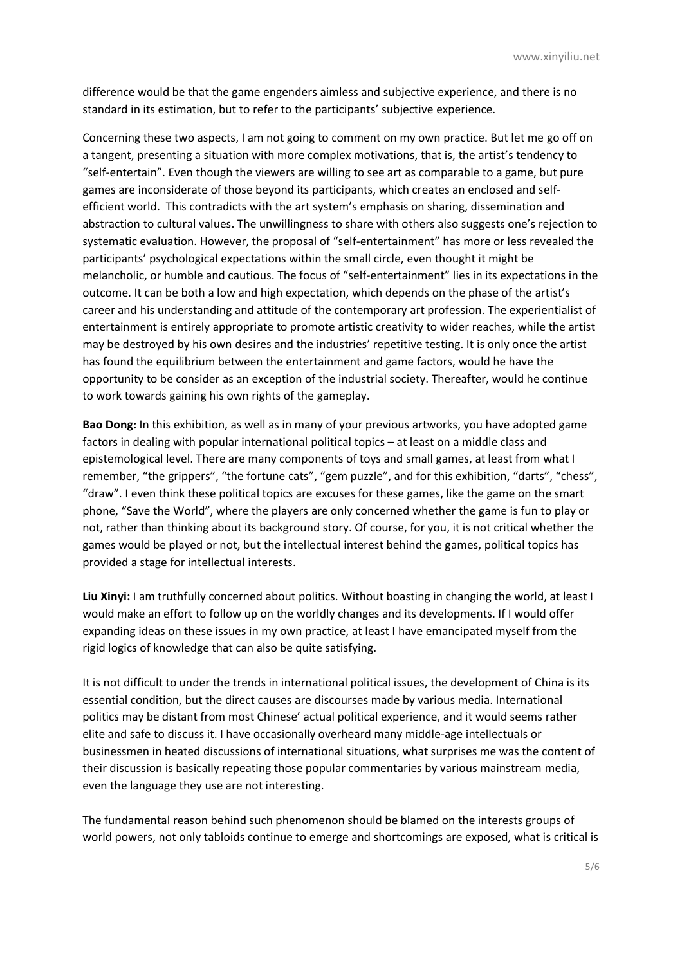difference would be that the game engenders aimless and subjective experience, and there is no standard in its estimation, but to refer to the participants' subjective experience.

Concerning these two aspects, I am not going to comment on my own practice. But let me go off on a tangent, presenting a situation with more complex motivations, that is, the artist's tendency to "self-entertain". Even though the viewers are willing to see art as comparable to a game, but pure games are inconsiderate of those beyond its participants, which creates an enclosed and selfefficient world. This contradicts with the art system's emphasis on sharing, dissemination and abstraction to cultural values. The unwillingness to share with others also suggests one's rejection to systematic evaluation. However, the proposal of "self-entertainment" has more or less revealed the participants' psychological expectations within the small circle, even thought it might be melancholic, or humble and cautious. The focus of "self-entertainment" lies in its expectations in the outcome. It can be both a low and high expectation, which depends on the phase of the artist's career and his understanding and attitude of the contemporary art profession. The experientialist of entertainment is entirely appropriate to promote artistic creativity to wider reaches, while the artist may be destroyed by his own desires and the industries' repetitive testing. It is only once the artist has found the equilibrium between the entertainment and game factors, would he have the opportunity to be consider as an exception of the industrial society. Thereafter, would he continue to work towards gaining his own rights of the gameplay.

**Bao Dong:** In this exhibition, as well as in many of your previous artworks, you have adopted game factors in dealing with popular international political topics – at least on a middle class and epistemological level. There are many components of toys and small games, at least from what I remember, "the grippers", "the fortune cats", "gem puzzle", and for this exhibition, "darts", "chess", "draw". I even think these political topics are excuses for these games, like the game on the smart phone, "Save the World", where the players are only concerned whether the game is fun to play or not, rather than thinking about its background story. Of course, for you, it is not critical whether the games would be played or not, but the intellectual interest behind the games, political topics has provided a stage for intellectual interests.

**Liu Xinyi:** I am truthfully concerned about politics. Without boasting in changing the world, at least I would make an effort to follow up on the worldly changes and its developments. If I would offer expanding ideas on these issues in my own practice, at least I have emancipated myself from the rigid logics of knowledge that can also be quite satisfying.

It is not difficult to under the trends in international political issues, the development of China is its essential condition, but the direct causes are discourses made by various media. International politics may be distant from most Chinese' actual political experience, and it would seems rather elite and safe to discuss it. I have occasionally overheard many middle-age intellectuals or businessmen in heated discussions of international situations, what surprises me was the content of their discussion is basically repeating those popular commentaries by various mainstream media, even the language they use are not interesting.

The fundamental reason behind such phenomenon should be blamed on the interests groups of world powers, not only tabloids continue to emerge and shortcomings are exposed, what is critical is